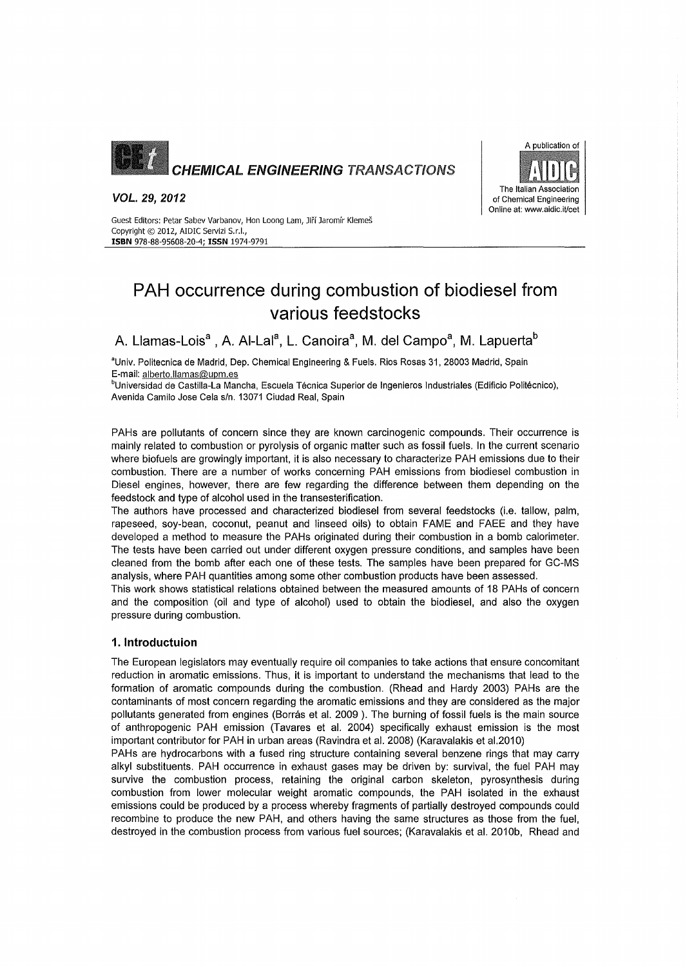

*VOL.* 29, *2012*



Guest Editors: Petar Sabev Varbanov, Hon Loong Lam, Jiří Jaromír Klemeš Copyright © 2012, AIDIC Servizi S.r.l., ISBN 978-88-95608-20-4; ISSN 1974-9791

# PAH occurrence during combustion of biodiesel from various feedstocks

A. Llamas-Lois<sup>a</sup> , A. Al-Lal<sup>a</sup>, L. Canoira<sup>a</sup>, M. del Campo<sup>a</sup>, M. Lapuerta<sup>b</sup>

'Univ. Politecnica de Madrid, Oep. Chemical Engineering & Fuels. Rios Rosas 31,28003 Madrid, Spain E-mail: alberto.llamas@upm.es

bUniversidad de Castilla-La Mancha, Escuela Técnica Superior de Ingenieros Industriales (Edificio Politécnico), Avenida Camilo Jose Cela s/n. 13071 Ciudad Real, Spain

PAHs are pollutants of concern since they are known carcinogenic compounds. Their occurrence is mainly related to combustion or pyrolysis of organic matter such as fossil fuels. In the current scenario where biofuels are growingly important, it is also necessary to characterize PAH emissions due to their combustion. There are a number of works concerning PAH emissions from biodiesel combustion in Diesel engines, however, there are few regarding the difference between them depending on the feedstock and type of alcohol used in the transesterification.

The authors have processed and characterized biodiesel from several feedstocks (i.e. tallow, palm, rapeseed, soy-bean, coconut, peanut and linseed oils) to obtain FAME and FAEE and they have developed a method to measure the PAHs originated during their combustion in a bomb calorimeter. The tests have been carried out under different oxygen pressure conditions, and samples have been cleaned from the bomb after each one of these tests. The samples have been prepared for GC-MS analysis, where PAH quantities among some other combustion products have been assessed.

This work shows statistical relations obtained between the measured amounts of 18 PAHs of concern and the composition (oil and type of alcohol) used to obtain the biodiesel, and also the oxygen pressure during combustion.

# 1.lntroductuion

The European legislators may eventually require oil companies to take actions that ensure concomitant reduction in aromatic emissions. Thus, it is important to understand the mechanisms that lead to the formation of aromatic compounds during the combustion. (Rhead and Hardy 2003) PAHs are the contaminants of most concern regarding the aromatic emissions and they are considered as the major pollutants generated from engines (Borrás et al. 2009 ). The burning of fossil fuels is the main source of anthropogenic PAH emission (Tavares et al. 2004) specifically exhaust emission is the most important contributor for PAH in urban areas (Ravindra et al. 2008) (Karavalakis et al.2010)

PAHs are hydrocarbons with a fused ring structure containing several benzene rings that may carry alkyl substituents. PAH occurrence in exhaust gases may be driven by: survival, the fuel PAH may survive the combustion process, retaining the original carbon skeleton, pyrosynthesis during combustion from lower molecular weight aromatic compounds, the PAH isolated in the exhaust emissions could be produced by a process whereby fragments of partially destroyed compounds could recombine to produce the new PAH, and others having the same structures as those from the fuel, destroyed in the combustion process from various fuel sources; (Karavalakis et al. 2010b, Rhead and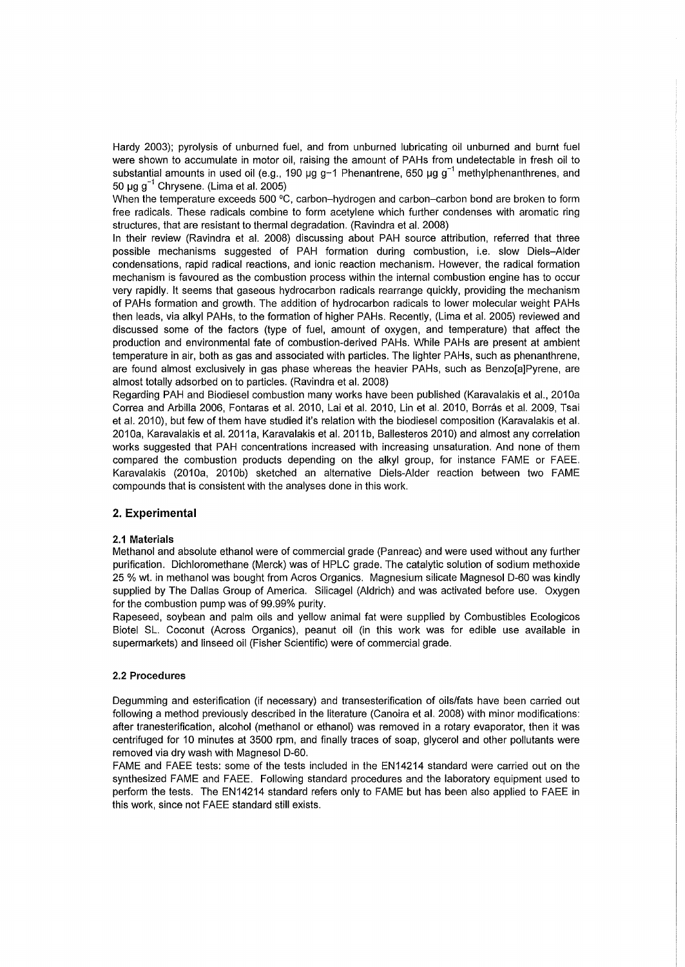Hardy 2003); pyrolysis of unburned fuel, and from unburned lubricating oil unburned and burnt fuel were shown to accumulate in motor oil, raising the amount of PAHs from undetectable in fresh oil to substantial amounts in used oil (e.g., 190  $\mu$ g g-1 Phenantrene, 650  $\mu$ g g<sup>-1</sup> methylphenanthrenes, and 50  $\mu$ g g<sup>-1</sup> Chrysene. (Lima et al. 2005)

When the temperature exceeds 500 °C, carbon-hydrogen and carbon-carbon bond are broken to form free radicals. These radicals combine to form acetylene which further condenses with aromatic ring structures, that are resistant to thermal degradation. (Ravindra et al. 2008)

In their review (Ravindra et al. 2008) discussing about PAH source attribution, referred that three possible mechanisms suggested of PAH formation during combustion, i.e. slow Diels-Alder condensations, rapid radical reactions, and ionic reaction mechanism. However, the radical formation mechanism is favoured as the combustion process within the internal combustion engine has to occur very rapidly. It seems that gaseous hydrocarbon radicals rearrange quickly, providing the mechanism of PAHs formation and growth. The addition of hydrocarbon radicals to lower molecular weight PAHs then leads, via alkyl PAHs, to the formation of higher PAHs. Recentiy, (Lima et al. 2005) reviewed and discussed some of the factors (type of fuel, amount of oxygen, and temperature) that affect the production and environmental fate of combustion-derived PAHs. While PAHs are present at ambient temperature in air, both as gas and associated with particles. The lighter PAHs, such as phenanthrene, are found almost exclusively in gas phase whereas the heavier PAHs, such as Benzo[a]Pyrene, are almost totally adsorbed on to particles. (Ravindra et al. 2008)

Regarding PAH and Biodiesel combustion many works have been published (Karavalakis et al., 2010a Correa and Arbilla 2006, Fontaras et al. 2010, Lai et al. 2010, Lin et al. 2010, Borrás et al. 2009, Tsai et al. 2010), but few of them have studied it's relation with the biodiesel composition (Karavalakis et al. 2010a, Karavalakis et al. 2011 a, Karavalakis et al. 2011 b, Ballesteros 2010) and almost any correlation works suggested that PAH concentrations increased with increasing unsaturation. And none of them compared the combustion products depending on the alkyl group, for instance FAME or FAEE. Karavalakis (2010a, 2010b) sketched an alternative Oiels-Alder reaction between two FAME compounds that is consistent with the analyses done in this work.

# **2. Experimental**

#### 2.1 **Materials**

Methanol and absolute ethanol were of commercial grade (Panreac) and were used without any further purification. Oichloromethane (Merck) was of HPLC grade. The catalytic solution of sodium methoxide 25 % wt. in methanol was bought from Acros Organics. Magnesium silicate Magnesol 0-60 was kindly supplied by The Oallas Group of America. Silicagel (Aldrich) and was activated before use. Oxygen for the combustion pump was of 99.99% purity.

Rapeseed, soybean and palm oils and yellow animal fat were supplied by Combustibles Ecologicos Biotel SL. Coconut (Across Organics), peanut oil (in this work was for edible use available in supermarkets) and linseed oil (Fisher Scientific) were of commercial grade.

#### 2.2 **Procedures**

Oegumming and esterification (if necessary) and transesterification of oils/fats have been carried out following a method previously described in the Iiterature (Canoira et al. 2008) with minor modifications: after tranesterification, alcohol (methanol or ethanol) was removed in a rotary evaporator, then it was centrifuged for 10 minutes at 3500 rpm, and finally traces of soap, glycerol and other pollutants were removed via dry wash with Magnesol D-60.

FAME and FAEE tests: some of the tests included in the EN14214 standard were carried out on the synthesized FAME and FAEE. Following standard procedures and the laboratory equipment used to perform the tests. The EN14214 standard refers only to FAME but has been also applied to FAEE in this work, since not FAEE standard still exists.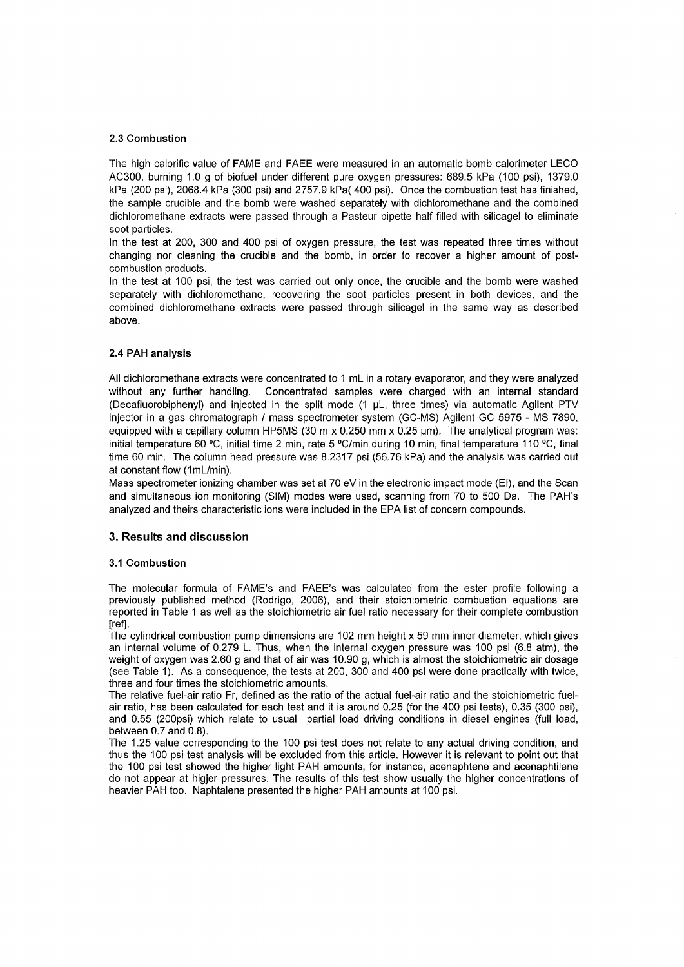#### 2.3 Combustion

The high calorific value of FAME and FAEE were measured in an automatic bomb calorimeter LECO AC300, burning 1.0 9 of biofuel under different pure oxygen pressures: 689.5 kPa (100 psi), 1379.0 kPa (200 psi), 2068.4 kPa (300 psi) and 2757.9 kPa( 400 psi). Once the combustion test has finished, the sample crucible and the bomb were washed separately with dichloromethane and the combined dichloromethane extracts were passed through a Pasteur pipette half filled with silicagel to eliminate soot particles.

In the test at 200, 300 and 400 psi of oxygen pressure, the test was repeated three times without changing nor cleaning the crucible and the bomb, in order to recover a higher amount of postcombustion products.

In the test at 100 psi, the test was carried out only once, the crucible and the bomb were washed separately with dichloromethane, recovering the soot particles present in both devices, and the combined dichloromethane extracts were passed through silicagel in the same way as described above.

#### 2.4 PAH analysis

AII dichloromethane extracts were concentrated to 1 mL in a rotary evaporator, and they were analyzed without any further handling. Concentrated samples were charged with an internal standard (Decafluorobiphenyl) and injected in the split mode (1 IJL, three times) via automatic Agilent PTV injector in a gas chromatograph / mass spectrometer system (GC-MS) Agilent GC 5975 - MS 7890, equipped with a capillary column HP5MS (30 m  $x$  0.250 mm  $x$  0.25  $\mu$ m). The analytical program was: initial temperature 60 °C, initial time 2 min, rate 5 °C/min during 10 min, final temperature 110 °C, final time 60 min. The column head pressure was 8.2317 psi (56.76 kPa) and the analysis was carried out at constant flow (1mL/min).

Mass spectrometer ionizing chamber was set at 70 eV in the electronic impact mode (El), and the Scan and simultaneous ion monitoring (SIM) modes were used, scanning from 70 to 500 Da. The PAH's analyzed and theirs characteristic ions were included in the EPA list of concern compounds.

# 3. **Results and discussion**

#### 3.1 Combustion

The molecular formula of FAME's and FAEE's was calculated from the ester profile following a previously published method (Rodrigo, 2006), and their stoichiometric combustion equations are reported in Table 1 as well as the stoichiometric air fuel ratio necessary for their complete combustion [ref].

The cylindrical combustion pump dimensions are 102 mm height x 59 mm inner diameter, which gives an internal volume of 0.279 L. Thus, when the internal oxygen pressure was 100 psi (6.8 atm), the weight of oxygen was 2.60 g and that of air was 10.90 g, which is almost the stoichiometric air dosage (see Table 1). As a consequence, the tests at 200, 300 and 400 psi were done practically with twice, three and four times the stoichiometric amounts.

The relative fuel-air ratio Fr, defined as the ratio of the actual fuel-air ratio and the stoichiometric fuelair ratio, has been calculated for each test and it is around 0.25 (for the 400 psi tests), 0.35 (300 psi), and 0.55 (200psi) which relate to usual partial load driving conditions in diesel engines (full load, between 0.7 and 0.8).

The 1.25 value corresponding to the 100 psi test does not relate to any actual driving condition, and thus the 100 psi test analysis will be excluded from this article. However it is relevant to point out that the 100 psi test showed the higher light PAH amounts, for instance, acenaphtene and acenaphtilene do not appear at higjer pressures. The results of this test show usually the higher concentrations of heavier PAH too. Naphtalene presented the higher PAH amounts at 100 psi.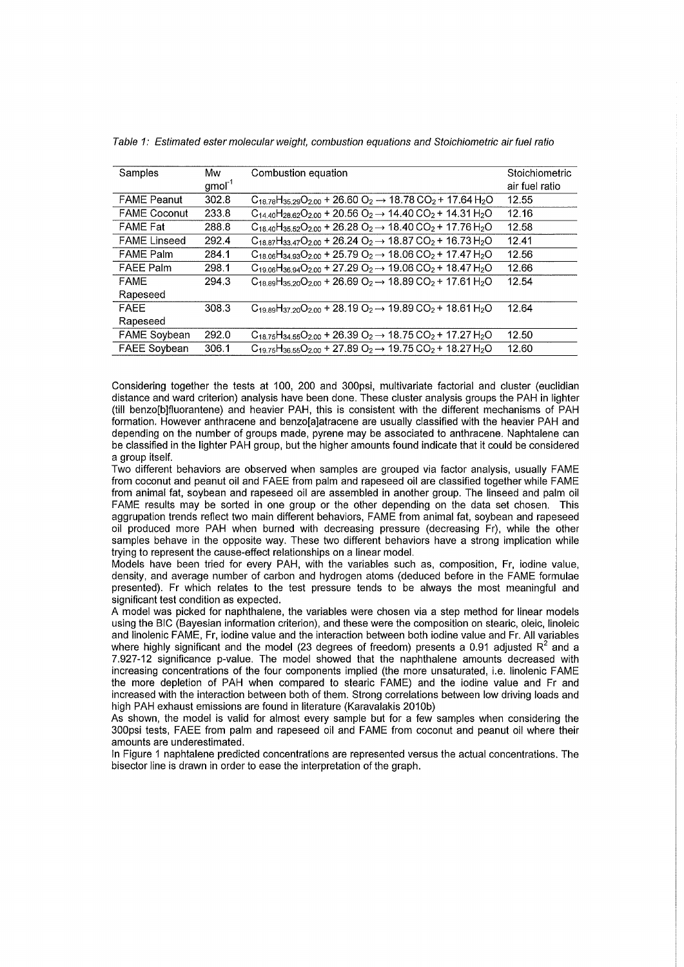| Samples             | Mw<br>$gmol-1$ | Combustion equation                                                                                     | Stoichiometric<br>air fuel ratio |
|---------------------|----------------|---------------------------------------------------------------------------------------------------------|----------------------------------|
| <b>FAME Peanut</b>  | 302.8          | $C_{18.78}H_{35.29}O_{2.00}$ + 26.60 $O_2$ $\rightarrow$ 18.78 CO <sub>2</sub> + 17.64 H <sub>2</sub> O | 12.55                            |
| <b>FAME Coconut</b> | 233.8          | $C_{14,40}H_{28,62}O_{2,00}$ + 20.56 $O_2 \rightarrow$ 14.40 CO <sub>2</sub> + 14.31 H <sub>2</sub> O   | 12.16                            |
| <b>FAME Fat</b>     | 288.8          | $C_{18,40}H_{35,52}O_{2,00}$ + 26.28 $O_2 \rightarrow 18,40$ CO <sub>2</sub> + 17.76 H <sub>2</sub> O   | 12.58                            |
| <b>FAME Linseed</b> | 292.4          | $C_{18.87}H_{33.47}O_{2.00}$ + 26.24 $O_2 \rightarrow 18.87$ CO <sub>2</sub> + 16.73 H <sub>2</sub> O   | 12.41                            |
| <b>FAME Palm</b>    | 284.1          | $C_{18.06}H_{34.93}O_{2.00}$ + 25.79 $O_2 \rightarrow 18.06$ CO <sub>2</sub> + 17.47 H <sub>2</sub> O   | 12.56                            |
| <b>FAEE Palm</b>    | 298.1          | $C_{19.06}H_{36.94}O_{2.00}$ + 27.29 $O_2 \rightarrow 19.06$ CO <sub>2</sub> + 18.47 H <sub>2</sub> O   | 12.66                            |
| <b>FAME</b>         | 294.3          | $C_{18.89}H_{35.20}O_{2.00}$ + 26.69 $O_2 \rightarrow 18.89$ CO <sub>2</sub> + 17.61 H <sub>2</sub> O   | 12.54                            |
| Rapeseed            |                |                                                                                                         |                                  |
| <b>FAEE</b>         | 308.3          | $C_{19.89}H_{37.20}O_{2.00}$ + 28.19 $O_2 \rightarrow$ 19.89 CO <sub>2</sub> + 18.61 H <sub>2</sub> O   | 12.64                            |
| Rapeseed            |                |                                                                                                         |                                  |
| <b>FAME Soybean</b> | 292.0          | $C_{18.75}H_{34.55}O_{2.00}$ + 26.39 $O_2 \rightarrow 18.75$ CO <sub>2</sub> + 17.27 H <sub>2</sub> O   | 12.50                            |
| <b>FAEE Soybean</b> | 306.1          | $C_{19.75}H_{36.55}O_{2.00}$ + 27.89 $O_2 \rightarrow$ 19.75 CO <sub>2</sub> + 18.27 H <sub>2</sub> O   | 12.60                            |

Table 1: Estimated ester molecular weight, combustion equations and Stoichiometric air fuel ratio

Considering together the tests at 100, 200 and 300psi, multivariate factorial and cluster (euclidian distance and ward criterion) analysis have been done. These cluster analysis groups the PAH in lighter (till benzo[b]f1uorantene) and heavier PAH, this is consistent with the different mechanisms of PAH formation. However anthracene and benzo[a]atracene are usually classified with the heavier PAH and depending on the number of groups made, pyrene may be associated to anthracene. Naphtalene can be c1assified in the lighter PAH group, but the higher amounts found indicate that it could be considered a group itself.

Two different behaviors are observed when samples are grouped via factor analysis, usually FAME from coconut and peanut oil and FAEE from palm and rapeseed oil are c1assified together while FAME from animal fat, soybean and rapeseed oil are assembled in another group. The linseed and palm oil FAME results may be sorted in one group or the other depending on the data set chosen. This aggrupation trends reflect two main different behaviors, FAME from animal fat, soybean and rapeseed oil produced more PAH when burned with decreasing pressure (decreasing Fr), while the other samples behave in the opposite way. These two different behaviors have a strong implication while trying to represent the cause-effect relationships on a linear model.

Models have been tried for every PAH, with the variables such as, composition, Fr, iodine value, density, and average number of carbon and hydrogen atoms (deduced before in the FAME formulae presented). Fr which relates to the test pressure tends to be always the most meaningful and significant test condition as expected.

A model was picked for naphthalene, the variables were chosen via a step method for linear models using the BIC (Bayesian information criterion), and these were the composition on stearic, oleic, linoleic and linolenic FAME, Fr, iodine value and the interaction between both iodine value and Fr. AII variables where highly significant and the model (23 degrees of freedom) presents a 0.91 adjusted  $R^2$  and a 7.927-12 significance p-value. The model showed that the naphthalene amounts decreased with increasing concentrations of the four components implied (the more unsaturated, i.e. linolenic FAME the more depletion of PAH when compared to stearic FAME) and the iodine value and Fr and increased with the interaction between both of them. Strong correlations between low driving loads and high PAH exhaust emissions are found in literature (Karavalakis 2010b)

As shown, the model is valid for almost every sample but for a few samples when considering the 300psi tests, FAEE from palm and rapeseed oil and FAME from coconut and peanut oil where their amounts are underestimated.

In Figure 1 naphtalene predicted concentrations are represented versus the actual concentrations. The bisector line is drawn in order to ease the interpretation of the graph.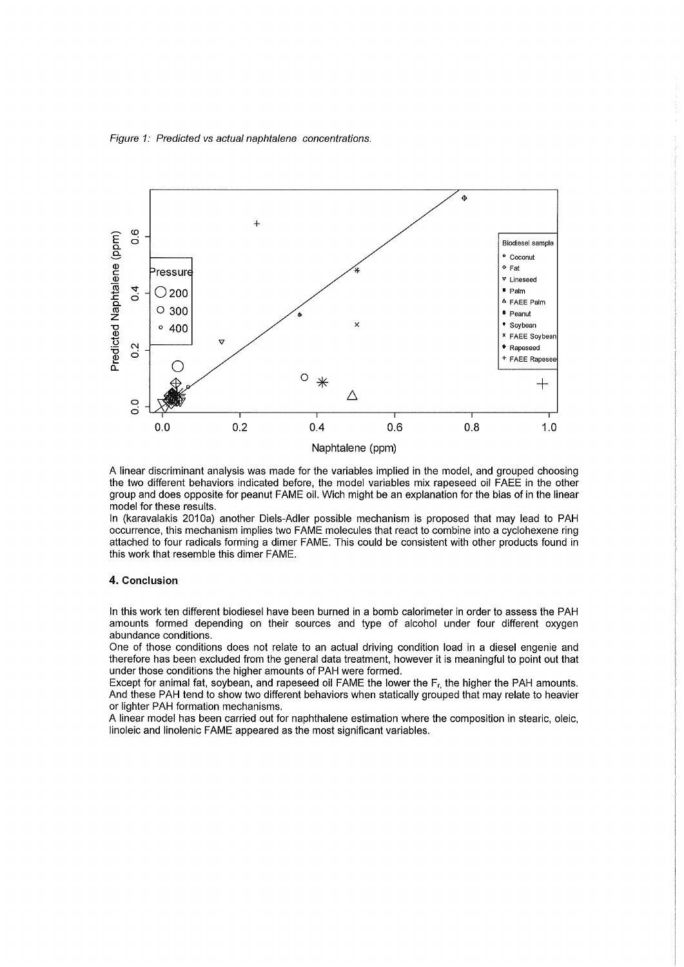Figure 1: Predicted vs actual naphtalene concentrations.



A linear discriminant analysis was made for the variables implied in the model, and grouped choosing the two different behaviors indicated before, the model variables mix rapeseed oil FAEE in the other group and does opposite for peanut FAME oil. Wich might be an explanation for the bias of in the linear model for these results.

In (karavalakis 2010a) another Diels-Adler possible mechanism is proposed that may lead to PAH occurrence, this mechanism implies two FAME molecules that react to combine into a cyclohexene ring attached to four radicals forming a dimer FAME. This could be consistent with other products found in this work that resemble this dimer FAME.

#### 4. Conclusion

In this work ten different biodiesel have been burned in a bomb calorimeter in order to assess the PAH amounts formed depending on their sources and type of alcohol under four different oxygen abundance conditions.

One of those conditions does not relate to an actual driving condition load in a diesel engenie and therefore has been excluded from the general data treatment, however it is meaningful to point out that under those conditions the higher amounts of PAH were formed.

Except for animal fat, soybean, and rapeseed oil FAME the lower the  $F_r$ , the higher the PAH amounts. And these PAH tend to show two different behaviors when statically grouped that may relate to heavier or lighter PAH formation mechanisms.

A linear model has been carried out for naphthalene estimation where the composition in stearic, oleic, linoleic and Iinolenic FAME appeared as the most significant variables.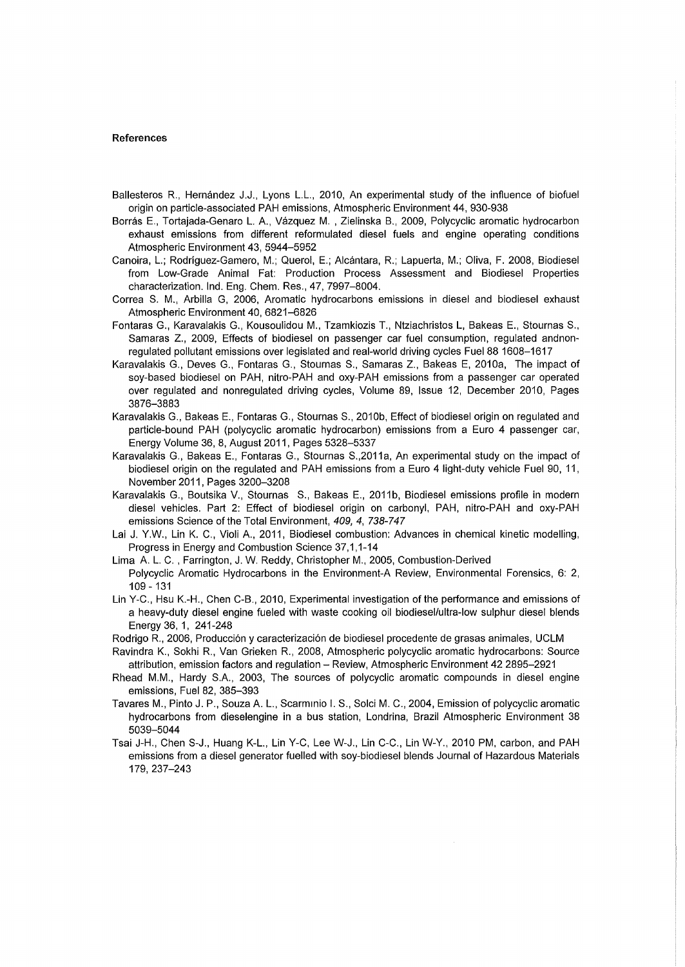#### **References**

- Ballesteros R, Hernández J.J., Lyons L.L., 2010, An experimental study of the influence of biofuel origin on particle-associated PAH emissions, Atmospheric Environment 44,930-938
- Borrás E., Tortajada-Genaro L. A, Vázquez M. , Zielinska B., 2009, Polycyclic aromatic hydrocarbon exhaust emissions from different reformulated diesel fuels and engine operating conditions Atmospheric Environment 43, 5944-5952
- Canoira, L.; Rodríguez-Gamero, M.; Querol, E.; Alcántara, R; Lapuerta, M.; Oliva, F. 2008, Biodiesel from Low-Grade Animal Fat: Production Process Assessment and Biodiesel Properties characterization. Ind. Eng. Chem. Res., 47, 7997-8004.
- Correa S. M., Arbilla G, 2006, Aromatic hydrocarbons emissions in diesel and biodiesel exhaust Atmospheric Environment 40,6821-6826
- Fontaras G., Karavalakis G., Kousoulidou M., Tzamkiozis T., Ntziachristos L, Bakeas E., Stournas S., Samaras Z., 2009, Effects of biodiesel on passenger car fuel consumption, regulated andnonregulated pollutant emissions over legislated and real-world driving cycles Fuel88 1608-1617
- Karavalakis G., Deves G., Fontaras G., Stournas S., Samaras Z., Bakeas E, 2010a, The impact of soy-based biodiesel on PAH, nitro-PAH and oxy-PAH emissions from a passenger car operated over regulated and nonregulated driving cycles, Volume 89, Issue 12, December 2010, Pages 3876-3883
- Karavalakis G., Bakeas E., Fontaras G., Stournas S., 2010b, Effect of biodiesel origin on regulated and particle-bound PAH (polycyclic aromatic hydrocarbon) emissions from a Euro 4 passenger car, Energy Volume 36, 8, August 2011, Pages 5328-5337
- Karavalakis G., Bakeas E., Fontaras G., Stournas S.,2011a, An experimental study on the impact of biodiesel origin on the regulated and PAH emissions from a Euro 4 light-duty vehicle Fuel 90, 11, November 2011, Pages 3200-3208
- Karavalakis G., Boutsika V., Stournas S., Bakeas E., 2011b, Biodiesel emissions profile in modern diesel vehicles. Part 2: Effect of biodiesel origin on carbonyl, PAH, nitro-PAH and oxy-PAH emissions Science of the Total Environment, 409, 4, 738-747
- Lai J. Y.w., Lin K. C., Violi A, 2011, Biodiesel combustion: Advances in chemical kinetic modelling, Progress in Energy and Combustion Science 37,1,1-14
- Lima A L. C. , Farrington, J. W. Reddy, Christopher M., 2005, Combustion-Derived Polycyclic Aromatic Hydrocarbons in the Environment-A Review, Environmental Forensics, 6: 2, 109 -131
- Lin Y-C., Hsu K.-H., Chen C-B., 2010, Experimental investigation ofthe performance and emissions of a heavy-duty diesel engine fueled with waste cooking oil biodiesel/ultra-Iow sulphur diesel blends Energy 36, 1, 241-248
- Rodrigo R., 2006, Producción y caracterización de biodiesel procedente de grasas animales, UCLM
- Ravindra K., Sokhi R., Van Grieken R, 2008, Atmospheric polycyclic aromatic hydrocarbons: Source attribution, emission factors and regulation - Review, Atmospheric Environment 42 2895-2921
- Rhead M.M., Hardy S.A., 2003, The sources of polycyclic aromatic compounds in diesel engine emissions, Fuel 82, 385-393
- Tavares M., Pinto J. P., Souza A. L., Scarminio I. S., Solci M. C., 2004, Emission of polycyclic aromatic hydrocarbons from dieselengine in a bus station, Londrina, Brazil Atmospheric Environment 38 5039-5044
- Tsai J-H., Chen S-J., Huang K-L., Lin Y-C, Lee W-J., Lin C-C., Lin W-Y., 2010 PM, carbon, and PAH emissions from a diesel generator fuelled with soy-biodiesel blends Journal of Hazardous Materials 179,237-243